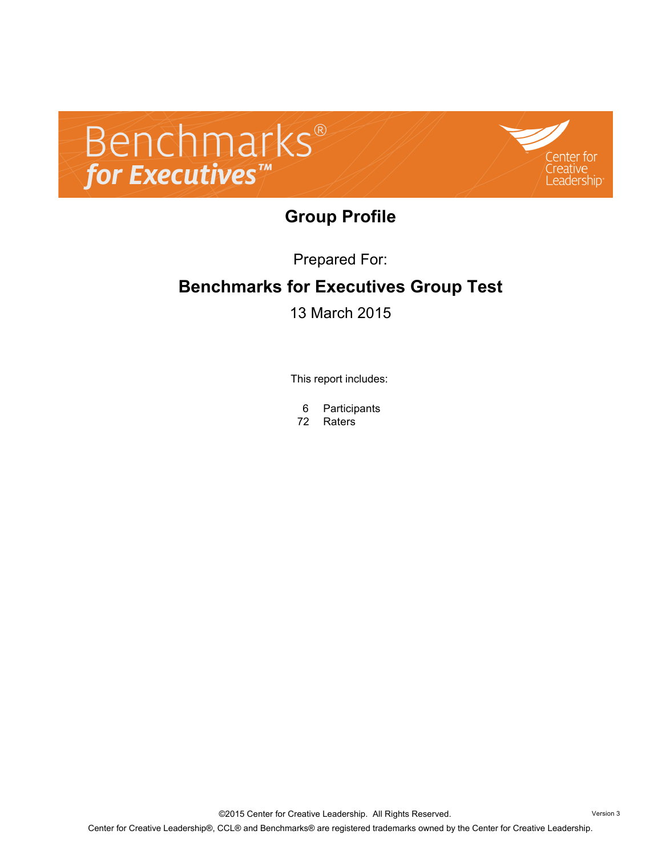



### **Group Profile**

Prepared For:

# **Benchmarks for Executives Group Test**

13 March 2015

This report includes:

- 6 Participants
- 72 Raters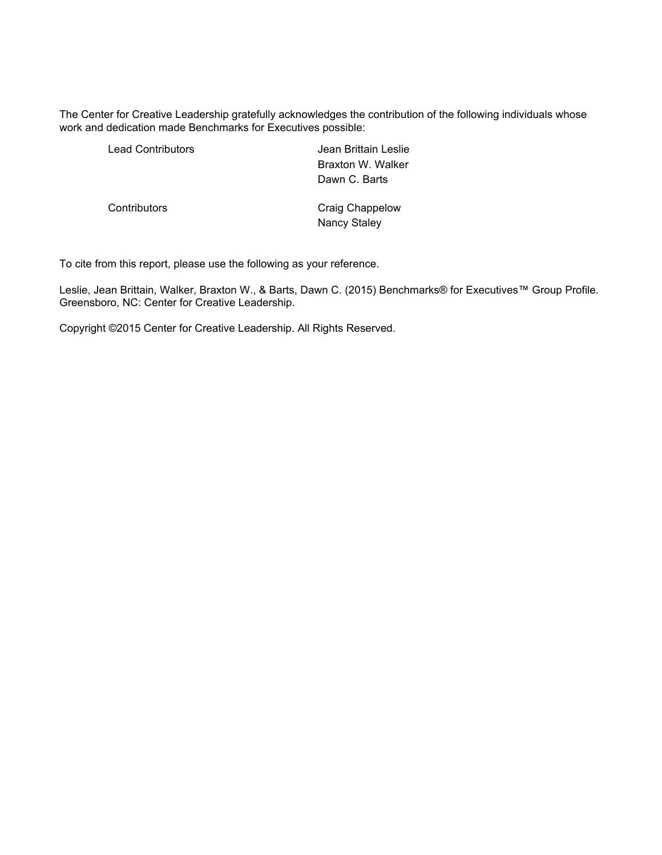The Center for Creative Leadership gratefully acknowledges the contribution of the following individuals whose work and dedication made Benchmarks for Executives possible:

| <b>Lead Contributors</b> | Jean Brittain Leslie<br>Braxton W. Walker<br>Dawn C. Barts |
|--------------------------|------------------------------------------------------------|
| Contributors             | Craig Chappelow<br>Nancy Staley                            |

To cite from this report, please use the following as your reference.

Leslie, Jean Brittain, Walker, Braxton W., & Barts, Dawn C. (2015) Benchmarks® for Executives™ Group Profile. Greensboro, NC: Center for Creative Leadership.

Copyright ©2015 Center for Creative Leadership. All Rights Reserved.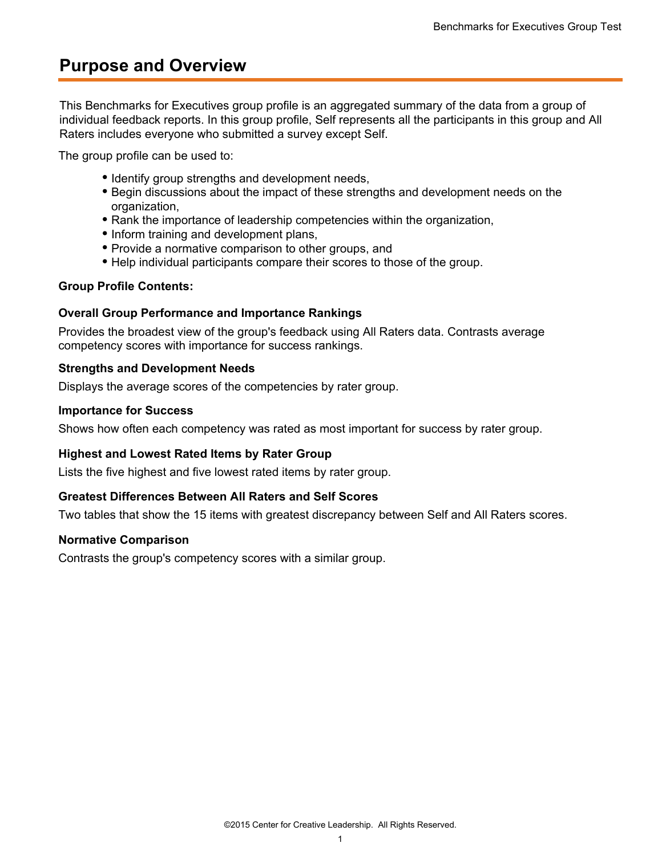### **Purpose and Overview**

This Benchmarks for Executives group profile is an aggregated summary of the data from a group of individual feedback reports. In this group profile, Self represents all the participants in this group and All Raters includes everyone who submitted a survey except Self.

The group profile can be used to:

- Identify group strengths and development needs,
- Begin discussions about the impact of these strengths and development needs on the organization,
- Rank the importance of leadership competencies within the organization,
- Inform training and development plans,
- Provide a normative comparison to other groups, and
- Help individual participants compare their scores to those of the group.

#### **Group Profile Contents:**

#### **Overall Group Performance and Importance Rankings**

Provides the broadest view of the group's feedback using All Raters data. Contrasts average competency scores with importance for success rankings.

#### **Strengths and Development Needs**

Displays the average scores of the competencies by rater group.

#### **Importance for Success**

Shows how often each competency was rated as most important for success by rater group.

#### **Highest and Lowest Rated Items by Rater Group**

Lists the five highest and five lowest rated items by rater group.

#### **Greatest Differences Between All Raters and Self Scores**

Two tables that show the 15 items with greatest discrepancy between Self and All Raters scores.

#### **Normative Comparison**

Contrasts the group's competency scores with a similar group.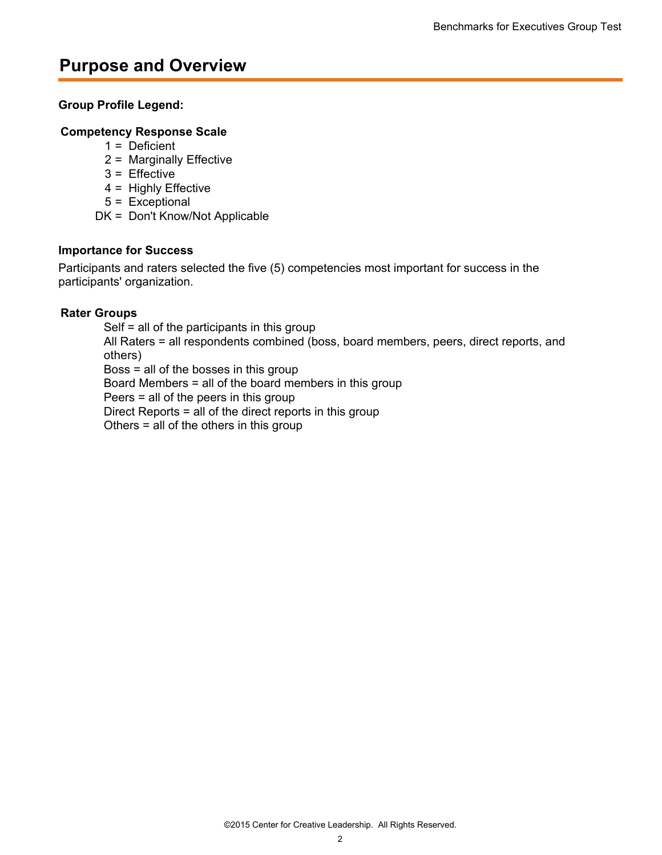### **Purpose and Overview**

### **Group Profile Legend:**

### **Competency Response Scale**

- $1 =$  Deficient
- 2 = Marginally Effective
- 3 = Effective
- 4 = Highly Effective
- 5 = Exceptional
- DK = Don't Know/Not Applicable

#### **Importance for Success**

Participants and raters selected the five (5) competencies most important for success in the participants' organization.

### **Rater Groups**

Self = all of the participants in this group All Raters = all respondents combined (boss, board members, peers, direct reports, and others) Boss = all of the bosses in this group Board Members = all of the board members in this group Peers = all of the peers in this group Direct Reports = all of the direct reports in this group

Others = all of the others in this group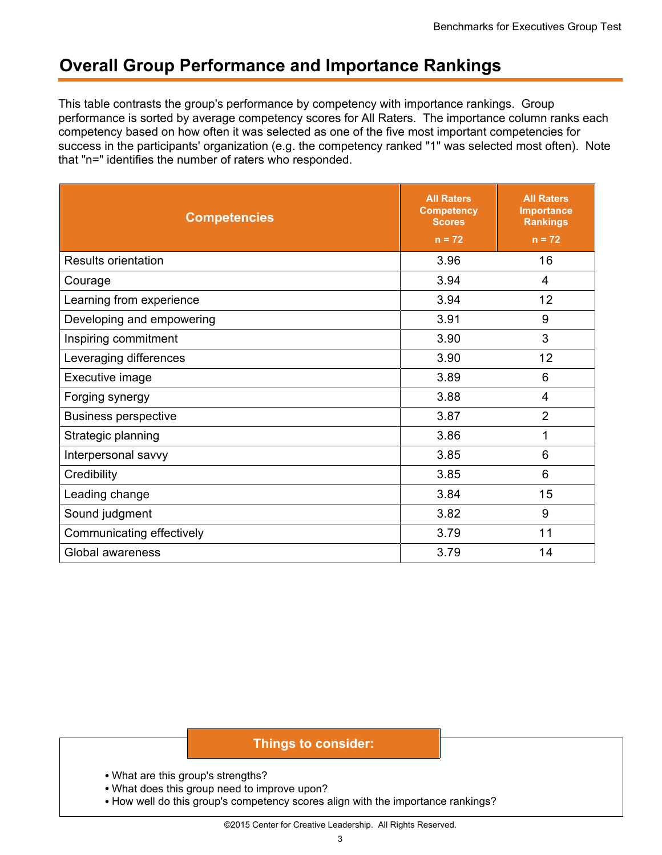### **Overall Group Performance and Importance Rankings**

This table contrasts the group's performance by competency with importance rankings. Group performance is sorted by average competency scores for All Raters. The importance column ranks each competency based on how often it was selected as one of the five most important competencies for success in the participants' organization (e.g. the competency ranked "1" was selected most often). Note that "n=" identifies the number of raters who responded.

| <b>Competencies</b>         | <b>All Raters</b><br><b>Competency</b><br><b>Scores</b><br>$n = 72$ | <b>All Raters</b><br><b>Importance</b><br><b>Rankings</b><br>$n = 72$ |
|-----------------------------|---------------------------------------------------------------------|-----------------------------------------------------------------------|
| <b>Results orientation</b>  | 3.96                                                                | 16                                                                    |
| Courage                     | 3.94                                                                | 4                                                                     |
| Learning from experience    | 3.94                                                                | 12                                                                    |
| Developing and empowering   | 3.91                                                                | 9                                                                     |
| Inspiring commitment        | 3.90                                                                | 3                                                                     |
| Leveraging differences      | 3.90                                                                | 12                                                                    |
| Executive image             | 3.89                                                                |                                                                       |
| Forging synergy             | 3.88                                                                | $\overline{4}$                                                        |
| <b>Business perspective</b> | $\overline{2}$<br>3.87                                              |                                                                       |
| Strategic planning          | 3.86                                                                | 1                                                                     |
| Interpersonal savvy         | 3.85                                                                | 6                                                                     |
| Credibility                 | 3.85                                                                | 6                                                                     |
| Leading change              | 3.84                                                                | 15                                                                    |
| Sound judgment              | 3.82                                                                | 9                                                                     |
| Communicating effectively   | 3.79                                                                | 11                                                                    |
| Global awareness            | 3.79                                                                | 14                                                                    |

- What are this group's strengths?
- What does this group need to improve upon?
- How well do this group's competency scores align with the importance rankings?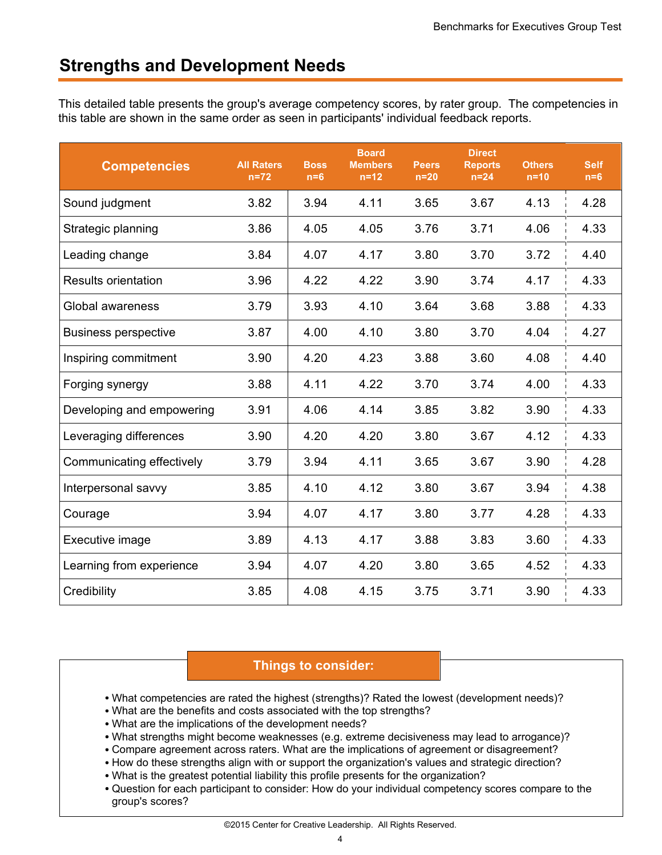### **Strengths and Development Needs**

This detailed table presents the group's average competency scores, by rater group. The competencies in this table are shown in the same order as seen in participants' individual feedback reports.

| <b>Competencies</b>         | <b>All Raters</b><br>$n=72$ | <b>Boss</b><br>$n=6$ | <b>Board</b><br><b>Members</b><br>$n=12$ | <b>Peers</b><br>$n=20$ | <b>Direct</b><br><b>Reports</b><br>$n=24$ | <b>Others</b><br>$n=10$ | <b>Self</b><br>$n=6$ |
|-----------------------------|-----------------------------|----------------------|------------------------------------------|------------------------|-------------------------------------------|-------------------------|----------------------|
| Sound judgment              | 3.82                        | 3.94                 | 4.11                                     | 3.65                   | 3.67                                      | 4.13                    | 4.28                 |
| Strategic planning          | 3.86                        | 4.05                 | 4.05                                     | 3.76                   | 3.71                                      | 4.06                    | 4.33                 |
| Leading change              | 3.84                        | 4.07                 | 4.17                                     | 3.80                   | 3.70                                      | 3.72                    | 4.40                 |
| <b>Results orientation</b>  | 3.96                        | 4.22                 | 4.22                                     | 3.90                   | 3.74                                      | 4.17                    | 4.33                 |
| Global awareness            | 3.79                        | 3.93                 | 4.10                                     | 3.64                   | 3.68                                      | 3.88                    | 4.33                 |
| <b>Business perspective</b> | 3.87                        | 4.00                 | 4.10                                     | 3.80                   | 3.70                                      | 4.04                    | 4.27                 |
| Inspiring commitment        | 3.90                        | 4.20                 | 4.23                                     | 3.88                   | 3.60                                      | 4.08                    | 4.40                 |
| Forging synergy             | 3.88                        | 4.11                 | 4.22                                     | 3.70                   | 3.74                                      | 4.00                    | 4.33                 |
| Developing and empowering   | 3.91                        | 4.06                 | 4.14                                     | 3.85                   | 3.82                                      | 3.90                    | 4.33                 |
| Leveraging differences      | 3.90                        | 4.20                 | 4.20                                     | 3.80                   | 3.67                                      | 4.12                    | 4.33                 |
| Communicating effectively   | 3.79                        | 3.94                 | 4.11                                     | 3.65                   | 3.67                                      | 3.90                    | 4.28                 |
| Interpersonal savvy         | 3.85                        | 4.10                 | 4.12                                     | 3.80                   | 3.67                                      | 3.94                    | 4.38                 |
| Courage                     | 3.94                        | 4.07                 | 4.17                                     | 3.80                   | 3.77                                      | 4.28                    | 4.33                 |
| Executive image             | 3.89                        | 4.13                 | 4.17                                     | 3.88                   | 3.83                                      | 3.60                    | 4.33                 |
| Learning from experience    | 3.94                        | 4.07                 | 4.20                                     | 3.80                   | 3.65                                      | 4.52                    | 4.33                 |
| Credibility                 | 3.85                        | 4.08                 | 4.15                                     | 3.75                   | 3.71                                      | 3.90                    | 4.33                 |

- What competencies are rated the highest (strengths)? Rated the lowest (development needs)?
- What are the benefits and costs associated with the top strengths?
- What are the implications of the development needs?
- What strengths might become weaknesses (e.g. extreme decisiveness may lead to arrogance)?
- Compare agreement across raters. What are the implications of agreement or disagreement?
- How do these strengths align with or support the organization's values and strategic direction?
- What is the greatest potential liability this profile presents for the organization?
- Question for each participant to consider: How do your individual competency scores compare to the group's scores?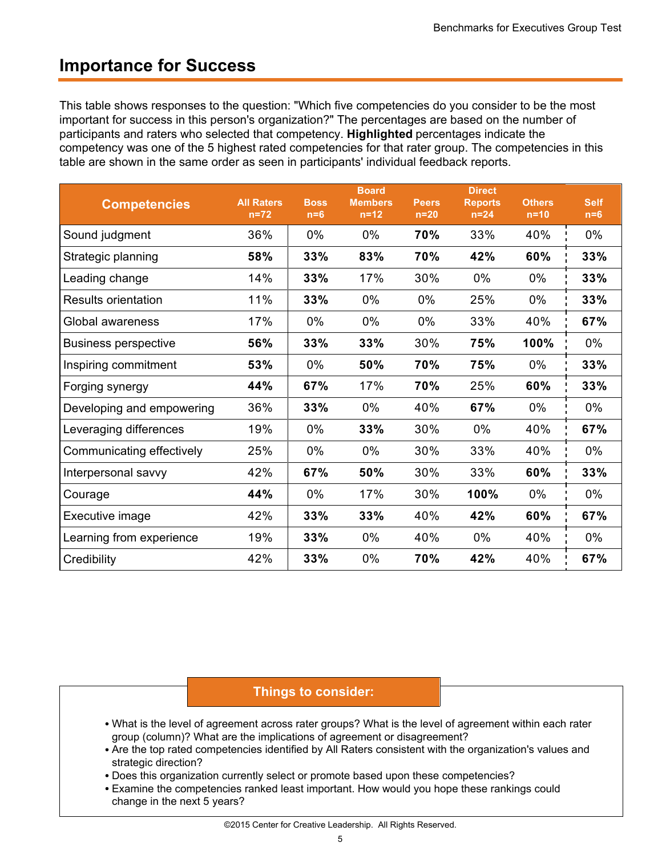### **Importance for Success**

This table shows responses to the question: "Which five competencies do you consider to be the most important for success in this person's organization?" The percentages are based on the number of participants and raters who selected that competency. **Highlighted** percentages indicate the competency was one of the 5 highest rated competencies for that rater group. The competencies in this table are shown in the same order as seen in participants' individual feedback reports.

| <b>Competencies</b>         | <b>All Raters</b><br>$n=72$ | <b>Boss</b><br>$n=6$ | <b>Board</b><br><b>Members</b><br>$n=12$ | <b>Peers</b><br>$n=20$ | <b>Direct</b><br><b>Reports</b><br>$n=24$ | <b>Others</b><br>$n=10$ | <b>Self</b><br>$n=6$ |
|-----------------------------|-----------------------------|----------------------|------------------------------------------|------------------------|-------------------------------------------|-------------------------|----------------------|
| Sound judgment              | 36%                         | $0\%$                | $0\%$                                    | 70%                    | 33%                                       | 40%                     | $0\%$                |
| Strategic planning          | 58%                         | 33%                  | 83%                                      | 70%                    | 42%                                       | 60%                     | 33%                  |
| Leading change              | 14%                         | 33%                  | 17%                                      | 30%                    | 0%                                        | 0%                      | 33%                  |
| <b>Results orientation</b>  | 11%                         | 33%                  | 0%                                       | $0\%$                  | 25%                                       | 0%                      | 33%                  |
| Global awareness            | 17%                         | 0%                   | 0%                                       | 0%                     | 33%                                       | 40%                     | 67%                  |
| <b>Business perspective</b> | 56%                         | 33%                  | 33%                                      | 30%                    | 75%                                       | 100%                    | 0%                   |
| Inspiring commitment        | 53%                         | $0\%$                | 50%                                      | 70%                    | 75%                                       | 0%                      | 33%                  |
| Forging synergy             | 44%                         | 67%                  | 17%                                      | 70%                    | 25%                                       | 60%                     | 33%                  |
| Developing and empowering   | 36%                         | 33%                  | 0%                                       | 40%                    | 67%                                       | 0%                      | 0%                   |
| Leveraging differences      | 19%                         | $0\%$                | 33%                                      | 30%                    | 0%                                        | 40%                     | 67%                  |
| Communicating effectively   | 25%                         | $0\%$                | $0\%$                                    | 30%                    | 33%                                       | 40%                     | $0\%$                |
| Interpersonal savvy         | 42%                         | 67%                  | 50%                                      | 30%                    | 33%                                       | 60%                     | 33%                  |
| Courage                     | 44%                         | $0\%$                | 17%                                      | 30%                    | 100%                                      | 0%                      | $0\%$                |
| Executive image             | 42%                         | 33%                  | 33%                                      | 40%                    | 42%                                       | 60%                     | 67%                  |
| Learning from experience    | 19%                         | 33%                  | 0%                                       | 40%                    | 0%                                        | 40%                     | $0\%$                |
| Credibility                 | 42%                         | 33%                  | 0%                                       | 70%                    | 42%                                       | 40%                     | 67%                  |

- What is the level of agreement across rater groups? What is the level of agreement within each rater group (column)? What are the implications of agreement or disagreement?
- Are the top rated competencies identified by All Raters consistent with the organization's values and strategic direction?
- Does this organization currently select or promote based upon these competencies?
- Examine the competencies ranked least important. How would you hope these rankings could change in the next 5 years?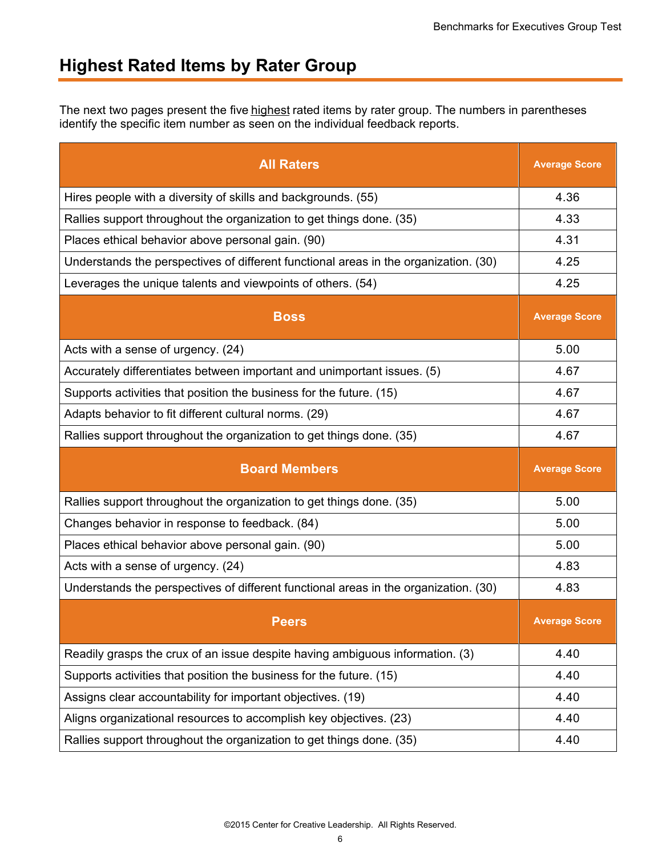### **Highest Rated Items by Rater Group**

The next two pages present the five highest rated items by rater group. The numbers in parentheses identify the specific item number as seen on the individual feedback reports.

| <b>All Raters</b>                                                                    | <b>Average Score</b> |
|--------------------------------------------------------------------------------------|----------------------|
| Hires people with a diversity of skills and backgrounds. (55)                        | 4.36                 |
| Rallies support throughout the organization to get things done. (35)                 | 4.33                 |
| Places ethical behavior above personal gain. (90)                                    | 4.31                 |
| Understands the perspectives of different functional areas in the organization. (30) | 4.25                 |
| Leverages the unique talents and viewpoints of others. (54)                          | 4.25                 |
| <b>Boss</b>                                                                          | <b>Average Score</b> |
| Acts with a sense of urgency. (24)                                                   | 5.00                 |
| Accurately differentiates between important and unimportant issues. (5)              | 4.67                 |
| Supports activities that position the business for the future. (15)                  | 4.67                 |
| Adapts behavior to fit different cultural norms. (29)                                | 4.67                 |
| Rallies support throughout the organization to get things done. (35)                 | 4.67                 |
|                                                                                      |                      |
| <b>Board Members</b>                                                                 | <b>Average Score</b> |
| Rallies support throughout the organization to get things done. (35)                 | 5.00                 |
| Changes behavior in response to feedback. (84)                                       | 5.00                 |
| Places ethical behavior above personal gain. (90)                                    | 5.00                 |
| Acts with a sense of urgency. (24)                                                   | 4.83                 |
| Understands the perspectives of different functional areas in the organization. (30) | 4.83                 |
| <b>Peers</b>                                                                         | <b>Average Score</b> |
| Readily grasps the crux of an issue despite having ambiguous information. (3)        | 4.40                 |
| Supports activities that position the business for the future. (15)                  | 4.40                 |
| Assigns clear accountability for important objectives. (19)                          | 4.40                 |
| Aligns organizational resources to accomplish key objectives. (23)                   | 4.40                 |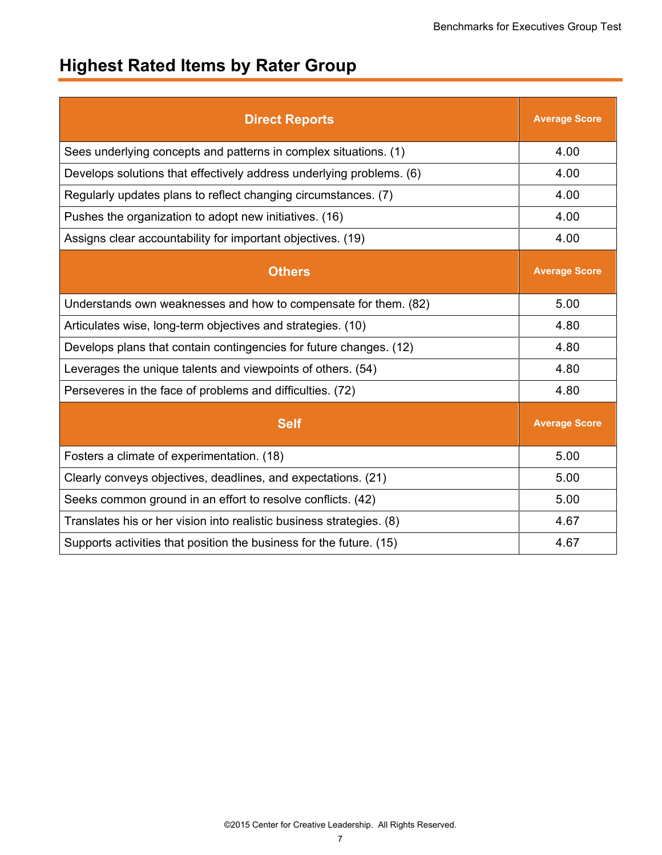# **Highest Rated Items by Rater Group**

| <b>Direct Reports</b>                                                | <b>Average Score</b> |
|----------------------------------------------------------------------|----------------------|
| Sees underlying concepts and patterns in complex situations. (1)     | 4.00                 |
| Develops solutions that effectively address underlying problems. (6) | 4.00                 |
| Regularly updates plans to reflect changing circumstances. (7)       | 4.00                 |
| Pushes the organization to adopt new initiatives. (16)               | 4.00                 |
| Assigns clear accountability for important objectives. (19)          | 4.00                 |
| <b>Others</b>                                                        | <b>Average Score</b> |
| Understands own weaknesses and how to compensate for them. (82)      | 5.00                 |
| Articulates wise, long-term objectives and strategies. (10)          | 4.80                 |
| Develops plans that contain contingencies for future changes. (12)   | 4.80                 |
| Leverages the unique talents and viewpoints of others. (54)          | 4.80                 |
| Perseveres in the face of problems and difficulties. (72)            | 4.80                 |
| <b>Self</b>                                                          | <b>Average Score</b> |
| Fosters a climate of experimentation. (18)                           | 5.00                 |
| Clearly conveys objectives, deadlines, and expectations. (21)        | 5.00                 |
| Seeks common ground in an effort to resolve conflicts. (42)          | 5.00                 |
| Translates his or her vision into realistic business strategies. (8) | 4.67                 |
| Supports activities that position the business for the future. (15)  | 4.67                 |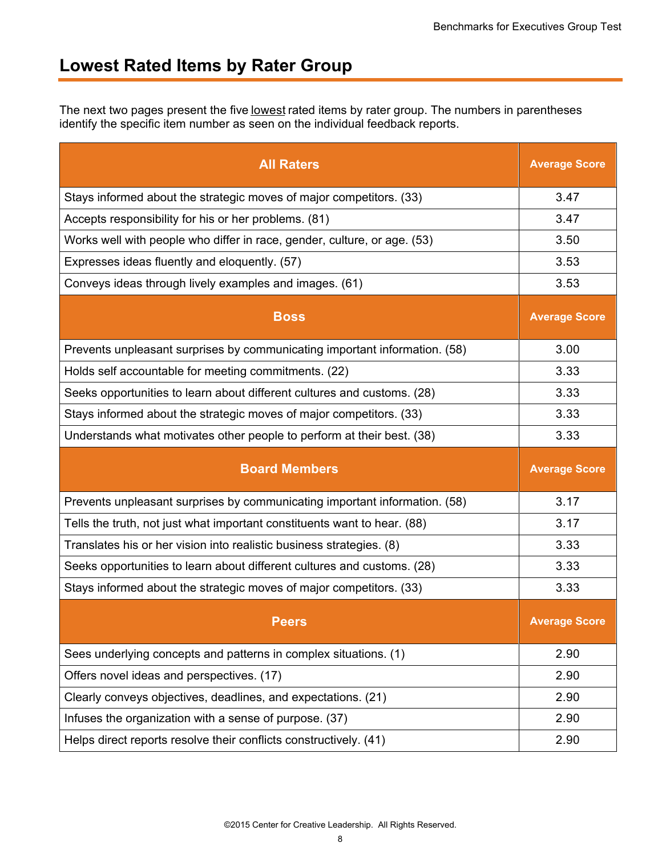### **Lowest Rated Items by Rater Group**

The next two pages present the five lowest rated items by rater group. The numbers in parentheses identify the specific item number as seen on the individual feedback reports.

| <b>All Raters</b>                                                          | <b>Average Score</b> |
|----------------------------------------------------------------------------|----------------------|
| Stays informed about the strategic moves of major competitors. (33)        | 3.47                 |
| Accepts responsibility for his or her problems. (81)                       | 3.47                 |
| Works well with people who differ in race, gender, culture, or age. (53)   | 3.50                 |
| Expresses ideas fluently and eloquently. (57)                              | 3.53                 |
| Conveys ideas through lively examples and images. (61)                     | 3.53                 |
| <b>Boss</b>                                                                | <b>Average Score</b> |
| Prevents unpleasant surprises by communicating important information. (58) | 3.00                 |
| Holds self accountable for meeting commitments. (22)                       | 3.33                 |
| Seeks opportunities to learn about different cultures and customs. (28)    | 3.33                 |
| Stays informed about the strategic moves of major competitors. (33)        | 3.33                 |
| Understands what motivates other people to perform at their best. (38)     | 3.33                 |
|                                                                            |                      |
| <b>Board Members</b>                                                       | <b>Average Score</b> |
| Prevents unpleasant surprises by communicating important information. (58) | 3.17                 |
| Tells the truth, not just what important constituents want to hear. (88)   | 3.17                 |
| Translates his or her vision into realistic business strategies. (8)       | 3.33                 |
| Seeks opportunities to learn about different cultures and customs. (28)    | 3.33                 |
| Stays informed about the strategic moves of major competitors. (33)        | 3.33                 |
| <b>Peers</b>                                                               | <b>Average Score</b> |
| Sees underlying concepts and patterns in complex situations. (1)           | 2.90                 |
| Offers novel ideas and perspectives. (17)                                  | 2.90                 |
| Clearly conveys objectives, deadlines, and expectations. (21)              | 2.90                 |
| Infuses the organization with a sense of purpose. (37)                     | 2.90                 |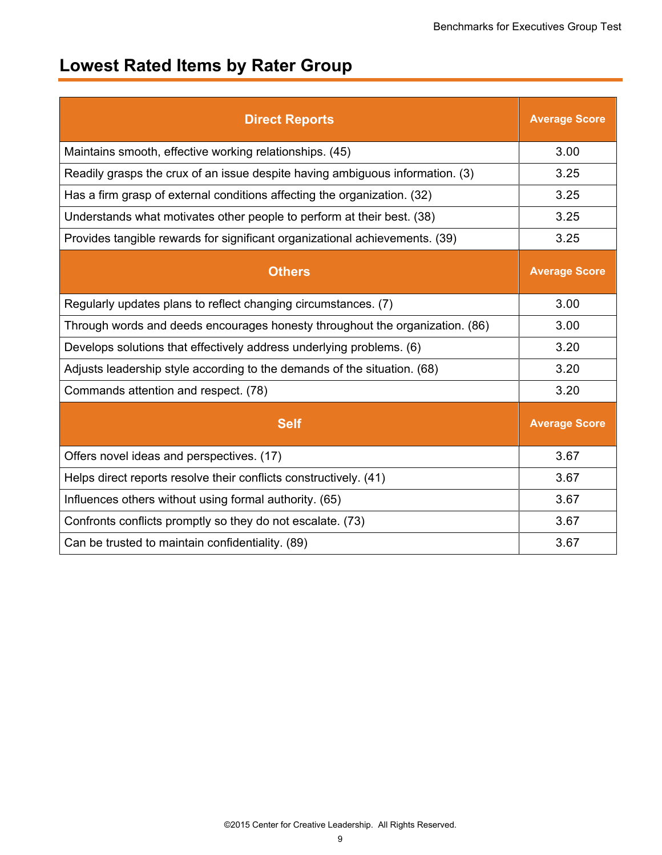# **Lowest Rated Items by Rater Group**

| <b>Direct Reports</b>                                                         | <b>Average Score</b> |
|-------------------------------------------------------------------------------|----------------------|
| Maintains smooth, effective working relationships. (45)                       | 3.00                 |
| Readily grasps the crux of an issue despite having ambiguous information. (3) | 3.25                 |
| Has a firm grasp of external conditions affecting the organization. (32)      | 3.25                 |
| Understands what motivates other people to perform at their best. (38)        | 3.25                 |
| Provides tangible rewards for significant organizational achievements. (39)   | 3.25                 |
| <b>Others</b>                                                                 | <b>Average Score</b> |
| Regularly updates plans to reflect changing circumstances. (7)                | 3.00                 |
| Through words and deeds encourages honesty throughout the organization. (86)  | 3.00                 |
| Develops solutions that effectively address underlying problems. (6)          | 3.20                 |
| Adjusts leadership style according to the demands of the situation. (68)      | 3.20                 |
| Commands attention and respect. (78)                                          | 3.20                 |
| <b>Self</b>                                                                   | <b>Average Score</b> |
| Offers novel ideas and perspectives. (17)                                     | 3.67                 |
| Helps direct reports resolve their conflicts constructively. (41)             | 3.67                 |
| Influences others without using formal authority. (65)                        | 3.67                 |
| Confronts conflicts promptly so they do not escalate. (73)                    | 3.67                 |
| Can be trusted to maintain confidentiality. (89)                              | 3.67                 |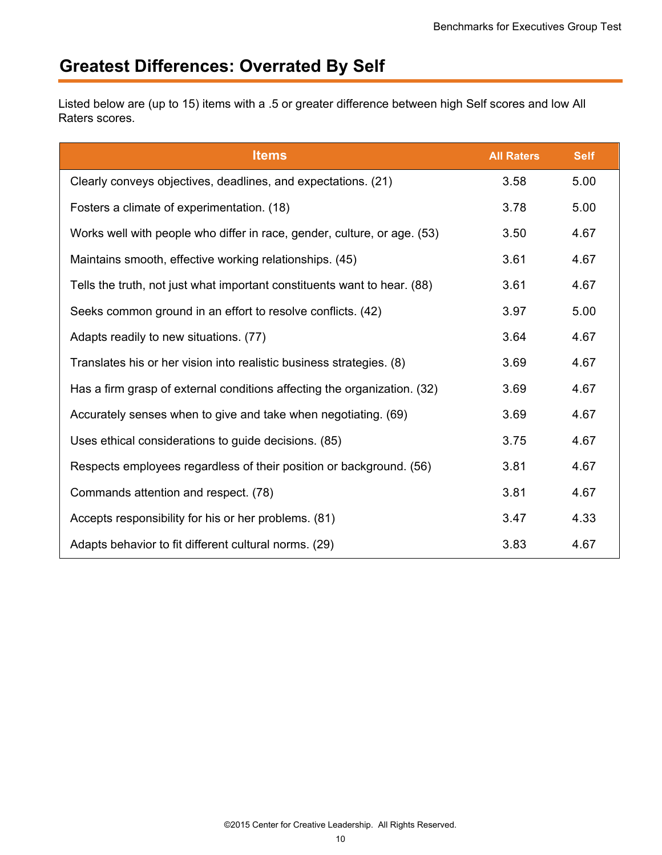## **Greatest Differences: Overrated By Self**

Listed below are (up to 15) items with a .5 or greater difference between high Self scores and low All Raters scores.

| <b>Items</b>                                                             | <b>All Raters</b> | <b>Self</b> |
|--------------------------------------------------------------------------|-------------------|-------------|
| Clearly conveys objectives, deadlines, and expectations. (21)            | 3.58              | 5.00        |
| Fosters a climate of experimentation. (18)                               | 3.78              | 5.00        |
| Works well with people who differ in race, gender, culture, or age. (53) | 3.50              | 4.67        |
| Maintains smooth, effective working relationships. (45)                  | 3.61              | 4.67        |
| Tells the truth, not just what important constituents want to hear. (88) | 3.61              | 4.67        |
| Seeks common ground in an effort to resolve conflicts. (42)              | 3.97              | 5.00        |
| Adapts readily to new situations. (77)                                   | 3.64              | 4.67        |
| Translates his or her vision into realistic business strategies. (8)     | 3.69              | 4.67        |
| Has a firm grasp of external conditions affecting the organization. (32) | 3.69              | 4.67        |
| Accurately senses when to give and take when negotiating. (69)           | 3.69              | 4.67        |
| Uses ethical considerations to guide decisions. (85)                     | 3.75              | 4.67        |
| Respects employees regardless of their position or background. (56)      | 3.81              | 4.67        |
| Commands attention and respect. (78)                                     | 3.81              | 4.67        |
| Accepts responsibility for his or her problems. (81)                     | 3.47              | 4.33        |
| Adapts behavior to fit different cultural norms. (29)                    | 3.83              | 4.67        |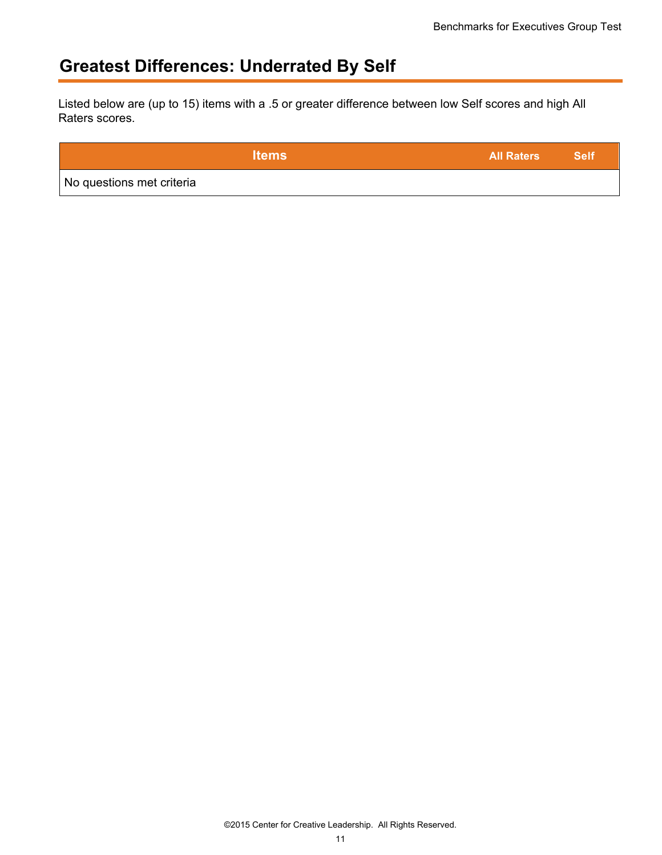## **Greatest Differences: Underrated By Self**

Listed below are (up to 15) items with a .5 or greater difference between low Self scores and high All Raters scores.

|                           | <b>Items</b> | <b>All Raters</b> | <b>Self</b> |
|---------------------------|--------------|-------------------|-------------|
| No questions met criteria |              |                   |             |